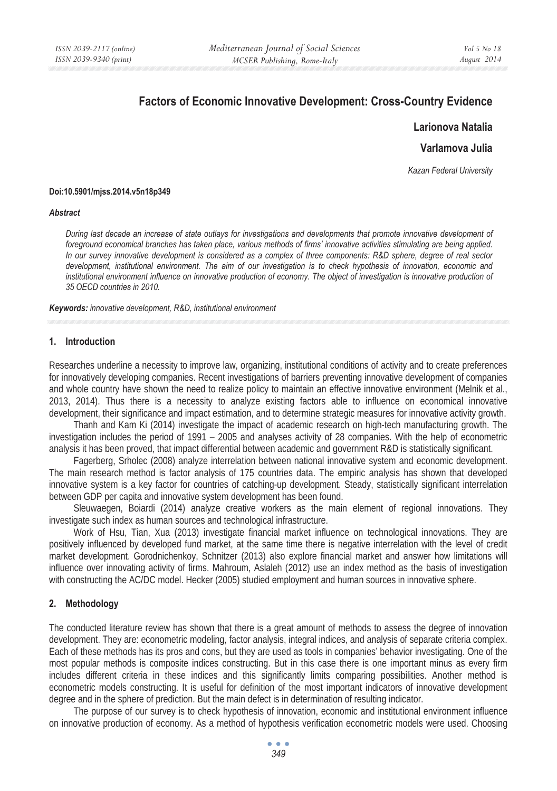# **Factors of Economic Innovative Development: Cross-Country Evidence**

**Larionova Natalia** 

**Varlamova Julia** 

*Kazan Federal University* 

#### **Doi:10.5901/mjss.2014.v5n18p349**

#### *Abstract*

*During last decade an increase of state outlays for investigations and developments that promote innovative development of foreground economical branches has taken place, various methods of firms' innovative activities stimulating are being applied. In our survey innovative development is considered as a complex of three components: R&D sphere, degree of real sector development, institutional environment. The aim of our investigation is to check hypothesis of innovation, economic and*  institutional environment influence on innovative production of economy. The object of investigation is innovative production of *35 OECD countries in 2010.* 

*Keywords: innovative development, R&D, institutional environment*

#### **1. Introduction**

Researches underline a necessity to improve law, organizing, institutional conditions of activity and to create preferences for innovatively developing companies. Recent investigations of barriers preventing innovative development of companies and whole country have shown the need to realize policy to maintain an effective innovative environment (Melnik et al., 2013, 2014). Thus there is a necessity to analyze existing factors able to influence on economical innovative development, their significance and impact estimation, and to determine strategic measures for innovative activity growth.

Thanh and Kam Ki (2014) investigate the impact of academic research on high-tech manufacturing growth. The investigation includes the period of 1991 – 2005 and analyses activity of 28 companies. With the help of econometric analysis it has been proved, that impact differential between academic and government R&D is statistically significant.

Fagerberg, Srholec (2008) analyze interrelation between national innovative system and economic development. The main research method is factor analysis of 175 countries data. The empiric analysis has shown that developed innovative system is a key factor for countries of catching-up development. Steady, statistically significant interrelation between GDP per capita and innovative system development has been found.

Sleuwaegen, Boiardi (2014) analyze creative workers as the main element of regional innovations. They investigate such index as human sources and technological infrastructure.

Work of Hsu, Tian, Xua (2013) investigate financial market influence on technological innovations. They are positively influenced by developed fund market, at the same time there is negative interrelation with the level of credit market development. Gorodnichenkoy, Schnitzer (2013) also explore financial market and answer how limitations will influence over innovating activity of firms. Mahroum, Aslaleh (2012) use an index method as the basis of investigation with constructing the AC/DC model. Hecker (2005) studied employment and human sources in innovative sphere.

#### **2. Methodology**

The conducted literature review has shown that there is a great amount of methods to assess the degree of innovation development. They are: econometric modeling, factor analysis, integral indices, and analysis of separate criteria complex. Each of these methods has its pros and cons, but they are used as tools in companies' behavior investigating. One of the most popular methods is composite indices constructing. But in this case there is one important minus as every firm includes different criteria in these indices and this significantly limits comparing possibilities. Another method is econometric models constructing. It is useful for definition of the most important indicators of innovative development degree and in the sphere of prediction. But the main defect is in determination of resulting indicator.

The purpose of our survey is to check hypothesis of innovation, economic and institutional environment influence on innovative production of economy. As a method of hypothesis verification econometric models were used. Choosing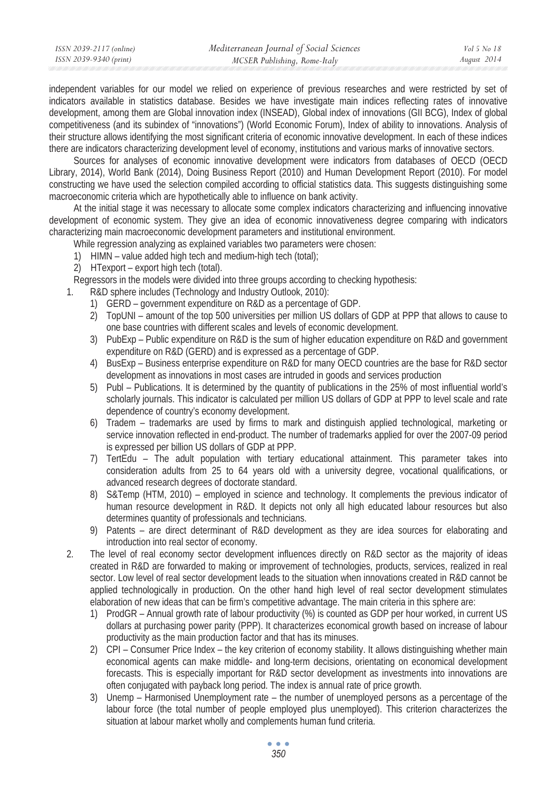| ISSN 2039-2117 (online) | Mediterranean Journal of Social Sciences | Vol 5 No 18 |
|-------------------------|------------------------------------------|-------------|
| ISSN 2039-9340 (print)  | MCSER Publishing, Rome-Italy             | August 2014 |
|                         |                                          |             |

independent variables for our model we relied on experience of previous researches and were restricted by set of indicators available in statistics database. Besides we have investigate main indices reflecting rates of innovative development, among them are Global innovation index (INSEAD), Global index of innovations (GII BCG), Index of global competitiveness (and its subindex of "innovations") (World Economic Forum), Index of ability to innovations. Analysis of their structure allows identifying the most significant criteria of economic innovative development. In each of these indices there are indicators characterizing development level of economy, institutions and various marks of innovative sectors.

Sources for analyses of economic innovative development were indicators from databases of OECD (OECD Library, 2014), World Bank (2014), Doing Business Report (2010) and Human Development Report (2010). For model constructing we have used the selection compiled according to official statistics data. This suggests distinguishing some macroeconomic criteria which are hypothetically able to influence on bank activity.

At the initial stage it was necessary to allocate some complex indicators characterizing and influencing innovative development of economic system. They give an idea of economic innovativeness degree comparing with indicators characterizing main macroeconomic development parameters and institutional environment.

- While regression analyzing as explained variables two parameters were chosen:
- 1) HIMN value added high tech and medium-high tech (total);
- 2) HTexport export high tech (total).

Regressors in the models were divided into three groups according to checking hypothesis:

- 1. R&D sphere includes (Technology and Industry Outlook, 2010):
	- 1) GERD government expenditure on R&D as a percentage of GDP.
	- 2) TopUNI amount of the top 500 universities per million US dollars of GDP at PPP that allows to cause to one base countries with different scales and levels of economic development.
	- 3) PubExp Public expenditure on R&D is the sum of higher education expenditure on R&D and government expenditure on R&D (GERD) and is expressed as a percentage of GDP.
	- 4) BusExp Business enterprise expenditure on R&D for many OECD countries are the base for R&D sector development as innovations in most cases are intruded in goods and services production
	- 5) Publ Publications. It is determined by the quantity of publications in the 25% of most influential world's scholarly journals. This indicator is calculated per million US dollars of GDP at PPP to level scale and rate dependence of country's economy development.
	- 6) Tradem trademarks are used by firms to mark and distinguish applied technological, marketing or service innovation reflected in end-product. The number of trademarks applied for over the 2007-09 period is expressed per billion US dollars of GDP at PPP.
	- 7) TertEdu The adult population with tertiary educational attainment. This parameter takes into consideration adults from 25 to 64 years old with a university degree, vocational qualifications, or advanced research degrees of doctorate standard.
	- 8) S&Temp (HTM, 2010) employed in science and technology. It complements the previous indicator of human resource development in R&D. It depicts not only all high educated labour resources but also determines quantity of professionals and technicians.
	- 9) Patents are direct determinant of R&D development as they are idea sources for elaborating and introduction into real sector of economy.
- 2. The level of real economy sector development influences directly on R&D sector as the majority of ideas created in R&D are forwarded to making or improvement of technologies, products, services, realized in real sector. Low level of real sector development leads to the situation when innovations created in R&D cannot be applied technologically in production. On the other hand high level of real sector development stimulates elaboration of new ideas that can be firm's competitive advantage. The main criteria in this sphere are:
	- 1) ProdGR Annual growth rate of labour productivity (%) is counted as GDP per hour worked, in current US dollars at purchasing power parity (PPP). It characterizes economical growth based on increase of labour productivity as the main production factor and that has its minuses.
	- 2) CPI Consumer Price Index the key criterion of economy stability. It allows distinguishing whether main economical agents can make middle- and long-term decisions, orientating on economical development forecasts. This is especially important for R&D sector development as investments into innovations are often conjugated with payback long period. The index is annual rate of price growth.
	- 3) Unemp Harmonised Unemployment rate the number of unemployed persons as a percentage of the labour force (the total number of people employed plus unemployed). This criterion characterizes the situation at labour market wholly and complements human fund criteria.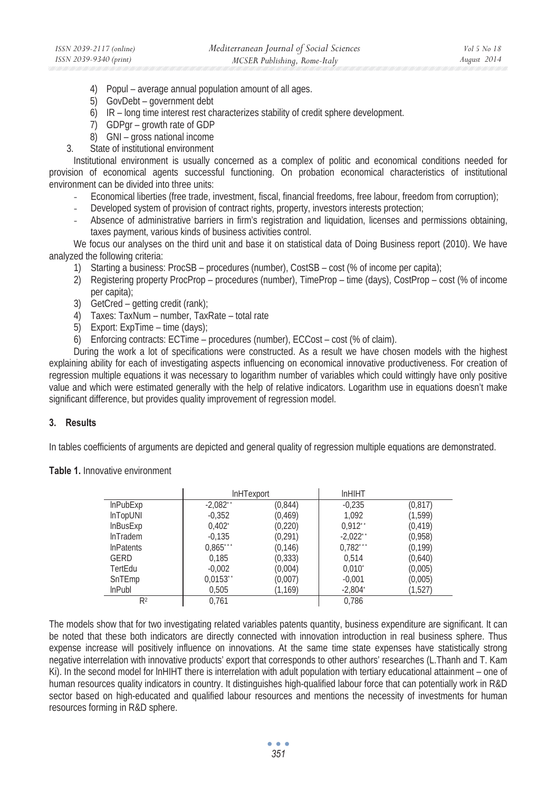- 4) Popul average annual population amount of all ages.
- 5) GovDebt government debt
- 6) IR long time interest rest characterizes stability of credit sphere development.
- 7) GDPgr growth rate of GDP
- 8) GNI gross national income
- 3. State of institutional environment

Institutional environment is usually concerned as a complex of politic and economical conditions needed for provision of economical agents successful functioning. On probation economical characteristics of institutional environment can be divided into three units:

- Economical liberties (free trade, investment, fiscal, financial freedoms, free labour, freedom from corruption);
- Developed system of provision of contract rights, property, investors interests protection;
- Absence of administrative barriers in firm's registration and liquidation, licenses and permissions obtaining, taxes payment, various kinds of business activities control.

We focus our analyses on the third unit and base it on statistical data of Doing Business report (2010). We have analyzed the following criteria:

- 1) Starting a business: ProcSB procedures (number), CostSB cost (% of income per capita);
- 2) Registering property ProcProp procedures (number), TimeProp time (days), CostProp cost (% of income per capita);
- 3) GetCred getting credit (rank);
- 4) Taxes: TaxNum number, TaxRate total rate
- 5) Export: ExpTime time (days);
- 6) Enforcing contracts: ECTime procedures (number), ECCost cost (% of claim).

During the work a lot of specifications were constructed. As a result we have chosen models with the highest explaining ability for each of investigating aspects influencing on economical innovative productiveness. For creation of regression multiple equations it was necessary to logarithm number of variables which could wittingly have only positive value and which were estimated generally with the help of relative indicators. Logarithm use in equations doesn't make significant difference, but provides quality improvement of regression model.

# **3. Results**

In tables coefficients of arguments are depicted and general quality of regression multiple equations are demonstrated.

### **Table 1.** Innovative environment

|                  | InHTexport             |          | <b>InHIHT</b>         |          |
|------------------|------------------------|----------|-----------------------|----------|
| <b>InPubExp</b>  | $-2,082$ <sup>**</sup> | (0,844)  | $-0.235$              | (0, 817) |
| InTopUNI         | $-0.352$               | (0.469)  | 1.092                 | (1, 599) |
| <b>InBusExp</b>  | $0,402^{\degree}$      | (0,220)  | $0.912$ <sup>**</sup> | (0, 419) |
| <b>InTradem</b>  | $-0.135$               | (0, 291) | $-2.022$              | (0.958)  |
| <b>InPatents</b> | 0,865                  | (0, 146) | 0.782                 | (0, 199) |
| <b>GERD</b>      | 0.185                  | (0, 333) | 0.514                 | (0,640)  |
| TertEdu          | $-0.002$               | (0,004)  | 0.010                 | (0,005)  |
| SnTEmp           | 0,0153                 | (0,007)  | $-0,001$              | (0,005)  |
| <b>InPubl</b>    | 0,505                  | (1, 169) | $-2,804$ <sup>*</sup> | (1,527)  |
| R <sup>2</sup>   | 0.761                  |          | 0.786                 |          |

The models show that for two investigating related variables patents quantity, business expenditure are significant. It can be noted that these both indicators are directly connected with innovation introduction in real business sphere. Thus expense increase will positively influence on innovations. At the same time state expenses have statistically strong negative interrelation with innovative products' export that corresponds to other authors' researches (L.Thanh and T. Kam Ki). In the second model for lnHIHT there is interrelation with adult population with tertiary educational attainment – one of human resources quality indicators in country. It distinguishes high-qualified labour force that can potentially work in R&D sector based on high-educated and qualified labour resources and mentions the necessity of investments for human resources forming in R&D sphere.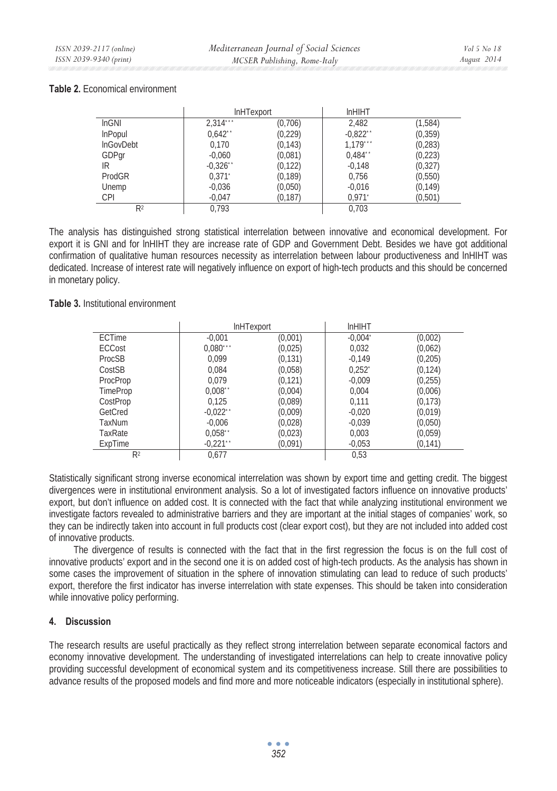# **Table 2.** Economical environment

|                  | <b>InHTexport</b>     |          | <b>InHIHT</b>        |          |
|------------------|-----------------------|----------|----------------------|----------|
| InGNI            | 2.314                 | (0,706)  | 2,482                | (1, 584) |
| <b>InPopul</b>   | $0.642$ <sup>**</sup> | (0, 229) | $-0.822$             | (0, 359) |
| <b>InGovDebt</b> | 0.170                 | (0.143)  | 1,179                | (0, 283) |
| GDPqr            | $-0,060$              | (0,081)  | $0.484$ <sup>*</sup> | (0, 223) |
| IR               | $-0.326$              | (0, 122) | $-0.148$             | (0, 327) |
| ProdGR           | $0.371$ <sup>*</sup>  | (0, 189) | 0,756                | (0, 550) |
| Unemp            | $-0.036$              | (0,050)  | $-0.016$             | (0, 149) |
| <b>CPI</b>       | $-0,047$              | (0, 187) | $0.971$ <sup>*</sup> | (0, 501) |
| R2               | 0.793                 |          | 0.703                |          |

The analysis has distinguished strong statistical interrelation between innovative and economical development. For export it is GNI and for lnHIHT they are increase rate of GDP and Government Debt. Besides we have got additional confirmation of qualitative human resources necessity as interrelation between labour productiveness and lnHIHT was dedicated. Increase of interest rate will negatively influence on export of high-tech products and this should be concerned in monetary policy.

**Table 3.** Institutional environment

|                | <b>InHTexport</b>    |          | <b>InHIHT</b>         |          |
|----------------|----------------------|----------|-----------------------|----------|
| ECTime         | $-0.001$             | (0,001)  | $-0.004$ <sup>*</sup> | (0,002)  |
| ECCost         | 0.080                | (0,025)  | 0,032                 | (0,062)  |
| ProcSB         | 0.099                | (0, 131) | $-0.149$              | (0, 205) |
| CostSB         | 0.084                | (0,058)  | $0,252^{\degree}$     | (0, 124) |
| ProcProp       | 0.079                | (0, 121) | $-0.009$              | (0.255)  |
| TimeProp       | $0.008$ <sup>*</sup> | (0,004)  | 0.004                 | (0,006)  |
| CostProp       | 0.125                | (0,089)  | 0.111                 | (0, 173) |
| GetCred        | $-0.022$             | (0,009)  | $-0.020$              | (0,019)  |
| TaxNum         | $-0.006$             | (0.028)  | $-0,039$              | (0.050)  |
| TaxRate        | $0.058$ <sup>*</sup> | (0,023)  | 0,003                 | (0,059)  |
| ExpTime        | $-0.221$             | (0,091)  | $-0.053$              | (0, 141) |
| R <sup>2</sup> | 0.677                |          | 0.53                  |          |

Statistically significant strong inverse economical interrelation was shown by export time and getting credit. The biggest divergences were in institutional environment analysis. So a lot of investigated factors influence on innovative products' export, but don't influence on added cost. It is connected with the fact that while analyzing institutional environment we investigate factors revealed to administrative barriers and they are important at the initial stages of companies' work, so they can be indirectly taken into account in full products cost (clear export cost), but they are not included into added cost of innovative products.

The divergence of results is connected with the fact that in the first regression the focus is on the full cost of innovative products' export and in the second one it is on added cost of high-tech products. As the analysis has shown in some cases the improvement of situation in the sphere of innovation stimulating can lead to reduce of such products' export, therefore the first indicator has inverse interrelation with state expenses. This should be taken into consideration while innovative policy performing.

# **4. Discussion**

The research results are useful practically as they reflect strong interrelation between separate economical factors and economy innovative development. The understanding of investigated interrelations can help to create innovative policy providing successful development of economical system and its competitiveness increase. Still there are possibilities to advance results of the proposed models and find more and more noticeable indicators (especially in institutional sphere).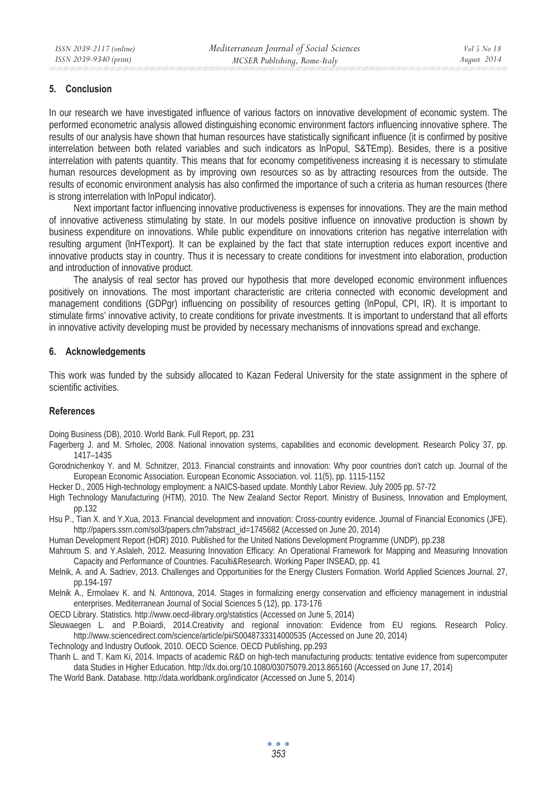# **5. Conclusion**

In our research we have investigated influence of various factors on innovative development of economic system. The performed econometric analysis allowed distinguishing economic environment factors influencing innovative sphere. The results of our analysis have shown that human resources have statistically significant influence (it is confirmed by positive interrelation between both related variables and such indicators as lnPopul, S&TEmp). Besides, there is a positive interrelation with patents quantity. This means that for economy competitiveness increasing it is necessary to stimulate human resources development as by improving own resources so as by attracting resources from the outside. The results of economic environment analysis has also confirmed the importance of such a criteria as human resources (there is strong interrelation with lnPopul indicator).

Next important factor influencing innovative productiveness is expenses for innovations. They are the main method of innovative activeness stimulating by state. In our models positive influence on innovative production is shown by business expenditure on innovations. While public expenditure on innovations criterion has negative interrelation with resulting argument (lnHTexport). It can be explained by the fact that state interruption reduces export incentive and innovative products stay in country. Thus it is necessary to create conditions for investment into elaboration, production and introduction of innovative product.

The analysis of real sector has proved our hypothesis that more developed economic environment influences positively on innovations. The most important characteristic are criteria connected with economic development and management conditions (GDPgr) influencing on possibility of resources getting (lnPopul, CPI, IR). It is important to stimulate firms' innovative activity, to create conditions for private investments. It is important to understand that all efforts in innovative activity developing must be provided by necessary mechanisms of innovations spread and exchange.

## **6. Acknowledgements**

This work was funded by the subsidy allocated to Kazan Federal University for the state assignment in the sphere of scientific activities.

# **References**

Doing Business (DB), 2010. World Bank. Full Report, pp. 231

- Fagerberg J. and M. Srholec, 2008. National innovation systems, capabilities and economic development. Research Policy 37, pp. 1417–1435
- Gorodnichenkoy Y. and M. Schnitzer, 2013. Financial constraints and innovation: Why poor countries don't catch up. Journal of the European Economic Association. European Economic Association. vol. 11(5), pp. 1115-1152
- Hecker D., 2005 High-technology employment: a NAICS-based update. Monthly Labor Review. July 2005 pp. 57-72
- High Technology Manufacturing (HTM), 2010. The New Zealand Sector Report. Ministry of Business, Innovation and Employment, pp.132

Hsu P., Tian X. and Y.Xua, 2013. Financial development and innovation: Cross-country evidence. Journal of Financial Economics (JFE). http://papers.ssrn.com/sol3/papers.cfm?abstract\_id=1745682 (Accessed on June 20, 2014)

Human Development Report (HDR) 2010. Published for the United Nations Development Programme (UNDP), pp.238

- Mahroum S. and Y.Aslaleh, 2012. Measuring Innovation Efficacy: An Operational Framework for Mapping and Measuring Innovation Capacity and Performance of Countries. Faculti&Research. Working Paper INSEAD, pp. 41
- Melnik, A. and A. Sadriev, 2013. Challenges and Opportunities for the Energy Clusters Formation. World Applied Sciences Journal. 27, pp.194-197
- Melnik A., Ermolaev K. and N. Antonova, 2014. Stages in formalizing energy conservation and efficiency management in industrial enterprises. Mediterranean Journal of Social Sciences 5 (12), pp. 173-176
- OECD Library. Statistics. http://www.oecd-ilibrary.org/statistics (Accessed on June 5, 2014)
- Sleuwaegen L. and P.Boiardi, 2014.Creativity and regional innovation: Evidence from EU regions. Research Policy. http://www.sciencedirect.com/science/article/pii/S0048733314000535 (Accessed on June 20, 2014)
- Technology and Industry Outlook, 2010. OECD Science. OECD Publishing, pp.293
- Thanh L. and T. Kam Ki, 2014. Impacts of academic R&D on high-tech manufacturing products: tentative evidence from supercomputer data Studies in Higher Education. http://dx.doi.org/10.1080/03075079.2013.865160 (Accessed on June 17, 2014)
- The World Bank. Database. http://data.worldbank.org/indicator (Accessed on June 5, 2014)